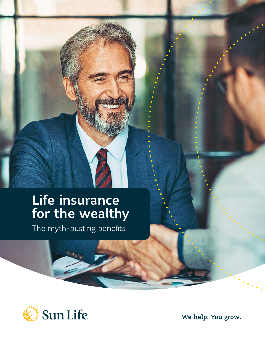## Life insurance for the wealthy

The myth-busting benefits



We help. You grow.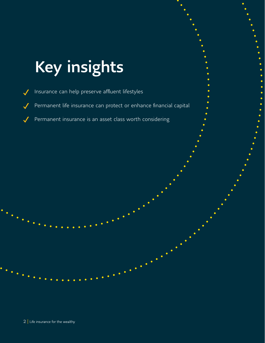# Key insights

Insurance can help preserve affluent lifestyles Permanent life insurance can protect or enhance financial capital Permanent insurance is an asset class worth considering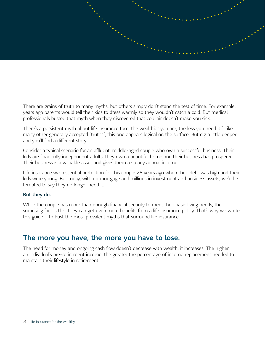

There are grains of truth to many myths, but others simply don't stand the test of time. For example, years ago parents would tell their kids to dress warmly so they wouldn't catch a cold. But medical professionals busted that myth when they discovered that cold air doesn't make you sick.

There's a persistent myth about life insurance too: "the wealthier you are, the less you need it." Like many other generally accepted "truths", this one appears logical on the surface. But dig a little deeper and you'll find a different story.

Consider a typical scenario for an affluent, middle-aged couple who own a successful business. Their kids are financially independent adults, they own a beautiful home and their business has prospered. Their business is a valuable asset and gives them a steady annual income.

Life insurance was essential protection for this couple 25 years ago when their debt was high and their kids were young. But today, with no mortgage and millions in investment and business assets, we'd be tempted to say they no longer need it.

### But they do.

While the couple has more than enough financial security to meet their basic living needs, the surprising fact is this: they can get even more benefits from a life insurance policy. That's why we wrote this guide – to bust the most prevalent myths that surround life insurance.

### The more you have, the more you have to lose.

The need for money and ongoing cash flow doesn't decrease with wealth, it increases. The higher an individual's pre-retirement income, the greater the percentage of income replacement needed to maintain their lifestyle in retirement.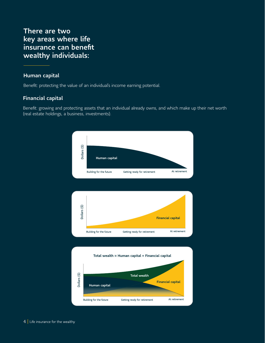### There are two key areas where life insurance can benefit wealthy individuals:

### Human capital

Benefit: protecting the value of an individual's income earning potential.

### Financial capital

Benefit: growing and protecting assets that an individual already owns, and which make up their net worth (real estate holdings, a business, investments).

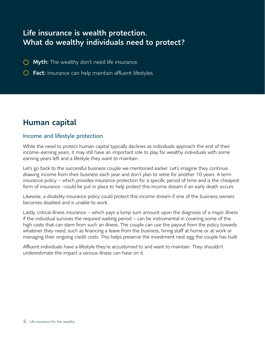### Life insurance is wealth protection. What do wealthy individuals need to protect?

- $\bigcirc$  Myth: The wealthy don't need life insurance.
- $\bigcirc$  Fact: Insurance can help maintain affluent lifestyles.

### Human capital

### Income and lifestyle protection

While the need to protect human capital typically declines as individuals approach the end of their income-earning years, it may still have an important role to play for wealthy individuals with some earning years left and a lifestyle they want to maintain.

Let's go back to the successful business couple we mentioned earlier. Let's imagine they continue drawing income from their business each year and don't plan to retire for another 10 years. A term insurance policy – which provides insurance protection for a specific period of time and is the cheapest form of insurance –could be put in place to help protect this income stream if an early death occurs.

Likewise, a disability insurance policy could protect this income stream if one of the business owners becomes disabled and is unable to work.

Lastly, critical illness insurance – which pays a lump sum amount upon the diagnosis of a major illness if the individual survives the required waiting period – can be instrumental in covering some of the high costs that can stem from such an illness. The couple can use the payout from the policy towards whatever they need, such as financing a leave from the business, hiring staff at home or at work or managing their ongoing credit costs. This helps preserve the investment nest egg the couple has built.

Affluent individuals have a lifestyle they're accustomed to and want to maintain. They shouldn't underestimate the impact a serious illness can have on it.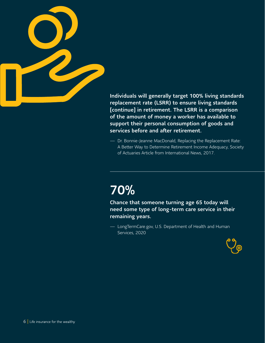

Individuals will generally target 100% living standards replacement rate (LSRR) to ensure living standards [continue] in retirement. The LSRR is a comparison of the amount of money a worker has available to support their personal consumption of goods and services before and after retirement.

— Dr. Bonnie-Jeanne MacDonald, Replacing the Replacement Rate: A Better Way to Determine Retirement Income Adequacy, Society of Actuaries Article from International News, 2017.

## 70%

Chance that someone turning age 65 today will need some type of long-term care service in their remaining years.

— LongTermCare.gov, U.S. Department of Health and Human Services, 2020

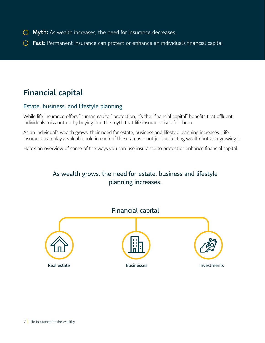- **O** Myth: As wealth increases, the need for insurance decreases.
- **C** Fact: Permanent insurance can protect or enhance an individual's financial capital.

### Financial capital

### Estate, business, and lifestyle planning

While life insurance offers "human capital" protection, it's the "financial capital" benefits that affluent individuals miss out on by buying into the myth that life insurance isn't for them.

As an individual's wealth grows, their need for estate, business and lifestyle planning increases. Life insurance can play a valuable role in each of these areas - not just protecting wealth but also growing it.

Here's an overview of some of the ways you can use insurance to protect or enhance financial capital.

### As wealth grows, the need for estate, business and lifestyle planning increases.

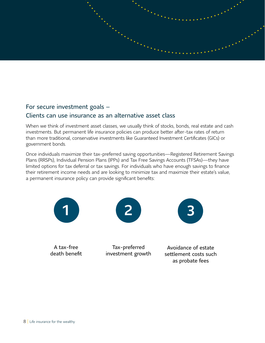

### For secure investment goals – Clients can use insurance as an alternative asset class

When we think of investment asset classes, we usually think of stocks, bonds, real estate and cash investments. But permanent life insurance policies can produce better after-tax rates of return than more traditional, conservative investments like Guaranteed Investment Certificates (GICs) or government bonds.

Once individuals maximize their tax-preferred saving opportunities—Registered Retirement Savings Plans (RRSPs), Individual Pension Plans (IPPs) and Tax Free Savings Accounts (TFSAs)—they have limited options for tax deferral or tax savings. For individuals who have enough savings to finance their retirement income needs and are looking to minimize tax and maximize their estate's value, a permanent insurance policy can provide significant benefits:

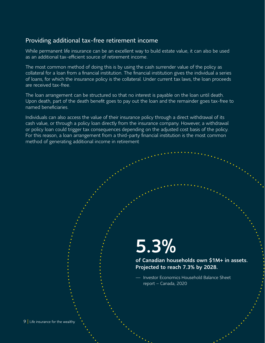### Providing additional tax-free retirement income

While permanent life insurance can be an excellent way to build estate value, it can also be used as an additional tax-efficient source of retirement income.

The most common method of doing this is by using the cash surrender value of the policy as collateral for a loan from a financial institution. The financial institution gives the individual a series of loans, for which the insurance policy is the collateral. Under current tax laws, the loan proceeds are received tax-free

The loan arrangement can be structured so that no interest is payable on the loan until death. Upon death, part of the death benefit goes to pay out the loan and the remainder goes tax-free to named beneficiaries.

Individuals can also access the value of their insurance policy through a direct withdrawal of its cash value, or through a policy loan directly from the insurance company. However, a withdrawal or policy loan could trigger tax consequences depending on the adjusted cost basis of the policy. For this reason, a loan arrangement from a third-party financial institution is the most common method of generating additional income in retirement

## 5.3%

of Canadian households own \$1M+ in assets. Projected to reach 7.3% by 2028.

— Investor Economics Household Balance Sheet report – Canada, 2020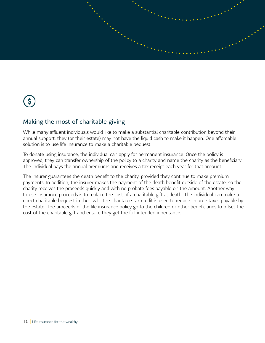

## $\left( \xi \right)$

### Making the most of charitable giving

While many affluent individuals would like to make a substantial charitable contribution beyond their annual support, they (or their estate) may not have the liquid cash to make it happen. One affordable solution is to use life insurance to make a charitable bequest.

To donate using insurance, the individual can apply for permanent insurance. Once the policy is approved, they can transfer ownership of the policy to a charity and name the charity as the beneficiary. The individual pays the annual premiums and receives a tax receipt each year for that amount.

The insurer guarantees the death benefit to the charity, provided they continue to make premium payments. In addition, the insurer makes the payment of the death benefit outside of the estate, so the charity receives the proceeds quickly and with no probate fees payable on the amount. Another way to use insurance proceeds is to replace the cost of a charitable gift at death. The individual can make a direct charitable bequest in their will. The charitable tax credit is used to reduce income taxes payable by the estate. The proceeds of the life insurance policy go to the children or other beneficiaries to offset the cost of the charitable gift and ensure they get the full intended inheritance.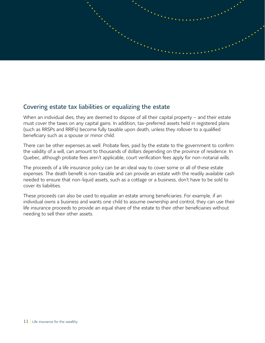

### Covering estate tax liabilities or equalizing the estate

When an individual dies, they are deemed to dispose of all their capital property – and their estate must cover the taxes on any capital gains. In addition, tax-preferred assets held in registered plans (such as RRSPs and RRIFs) become fully taxable upon death, unless they rollover to a qualified beneficiary such as a spouse or minor child.

There can be other expenses as well. Probate fees, paid by the estate to the government to confirm the validity of a will, can amount to thousands of dollars depending on the province of residence. In Quebec, although probate fees aren't applicable, court verification fees apply for non-notarial wills.

The proceeds of a life insurance policy can be an ideal way to cover some or all of these estate expenses. The death benefit is non-taxable and can provide an estate with the readily available cash needed to ensure that non-liquid assets, such as a cottage or a business, don't have to be sold to cover its liabilities.

These proceeds can also be used to equalize an estate among beneficiaries. For example, if an individual owns a business and wants one child to assume ownership and control, they can use their life insurance proceeds to provide an equal share of the estate to their other beneficiaries without needing to sell their other assets.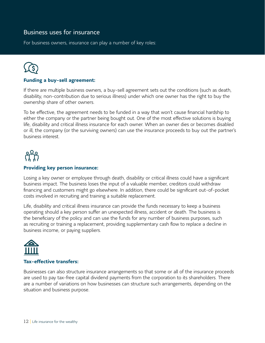### Business uses for insurance

For business owners, insurance can play a number of key roles:

### **Funding a buy-sell agreement:**

If there are multiple business owners, a buy-sell agreement sets out the conditions (such as death, disability, non-contribution due to serious illness) under which one owner has the right to buy the ownership share of other owners.

To be effective, the agreement needs to be funded in a way that won't cause financial hardship to either the company or the partner being bought out. One of the most effective solutions is buying life, disability and critical illness insurance for each owner. When an owner dies or becomes disabled or ill, the company (or the surviving owners) can use the insurance proceeds to buy out the partner's business interest.



### **Providing key person insurance:**

Losing a key owner or employee through death, disability or critical illness could have a significant business impact. The business loses the input of a valuable member, creditors could withdraw financing and customers might go elsewhere. In addition, there could be significant out-of-pocket costs involved in recruiting and training a suitable replacement.

Life, disability and critical illness insurance can provide the funds necessary to keep a business operating should a key person suffer an unexpected illness, accident or death. The business is the beneficiary of the policy and can use the funds for any number of business purposes, such as recruiting or training a replacement, providing supplementary cash flow to replace a decline in business income, or paying suppliers.



### **Tax-effective transfers:**

Businesses can also structure insurance arrangements so that some or all of the insurance proceeds are used to pay tax-free capital dividend payments from the corporation to its shareholders. There are a number of variations on how businesses can structure such arrangements, depending on the situation and business purpose.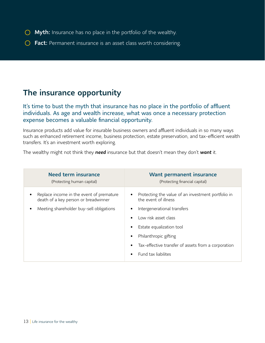- $\bigcirc$  Myth: Insurance has no place in the portfolio of the wealthy.
- **C** Fact: Permanent insurance is an asset class worth considering.

### The insurance opportunity

It's time to bust the myth that insurance has no place in the portfolio of affluent individuals. As age and wealth increase, what was once a necessary protection expense becomes a valuable financial opportunity.

Insurance products add value for insurable business owners and affluent individuals in so many ways such as enhanced retirement income, business protection, estate preservation, and tax-efficient wealth transfers. It's an investment worth exploring.

The wealthy might not think they *need* insurance but that doesn't mean they don't *want* it.

| <b>Need term insurance</b>                                                                                                             | <b>Want permanent insurance</b>                                                                                                                                                                                                                                      |
|----------------------------------------------------------------------------------------------------------------------------------------|----------------------------------------------------------------------------------------------------------------------------------------------------------------------------------------------------------------------------------------------------------------------|
| (Protecting human capital)                                                                                                             | (Protecting financial capital)                                                                                                                                                                                                                                       |
| Replace income in the event of premature<br>٠<br>death of a key person or breadwinner<br>Meeting shareholder buy-sell obligations<br>٠ | Protecting the value of an investment portfolio in<br>the event of illness<br>Intergenerational transfers<br>Low risk asset class<br>Estate equalization tool<br>Philanthropic gifting<br>Tax-effective transfer of assets from a corporation<br>Fund tax liabilites |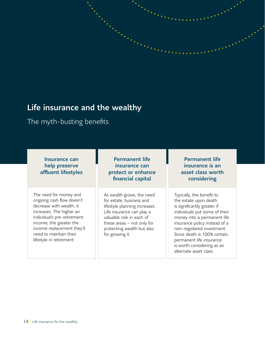### Life insurance and the wealthy

The myth-busting benefits

| <b>Insurance can</b><br>help preserve<br>affluent lifestyles                                                                                                                                                                                              | <b>Permanent life</b><br>insurance can<br>protect or enhance<br>financial capital                                                                                                                                                | <b>Permanent life</b><br>insurance is an<br>asset class worth<br>considering                                                                                                                                                                                                                                                         |
|-----------------------------------------------------------------------------------------------------------------------------------------------------------------------------------------------------------------------------------------------------------|----------------------------------------------------------------------------------------------------------------------------------------------------------------------------------------------------------------------------------|--------------------------------------------------------------------------------------------------------------------------------------------------------------------------------------------------------------------------------------------------------------------------------------------------------------------------------------|
| The need for money and<br>ongoing cash flow doesn't<br>decrease with wealth, it<br>increases. The higher an<br>individual's pre-retirement<br>income, the greater the<br>income replacement they'll<br>need to maintain their<br>lifestyle in retirement. | As wealth grows, the need<br>for estate, business and<br>lifestyle planning increases.<br>Life insurance can play a<br>valuable role in each of<br>these areas $-$ not only for<br>protecting wealth but also<br>for growing it. | Typically, the benefit to<br>the estate upon death<br>is significantly greater if<br>individuals put some of their<br>money into a permanent life<br>insurance policy instead of a<br>non-registered investment.<br>Since death is 100% certain,<br>permanent life insurance<br>is worth considering as an<br>alternate asset class. |